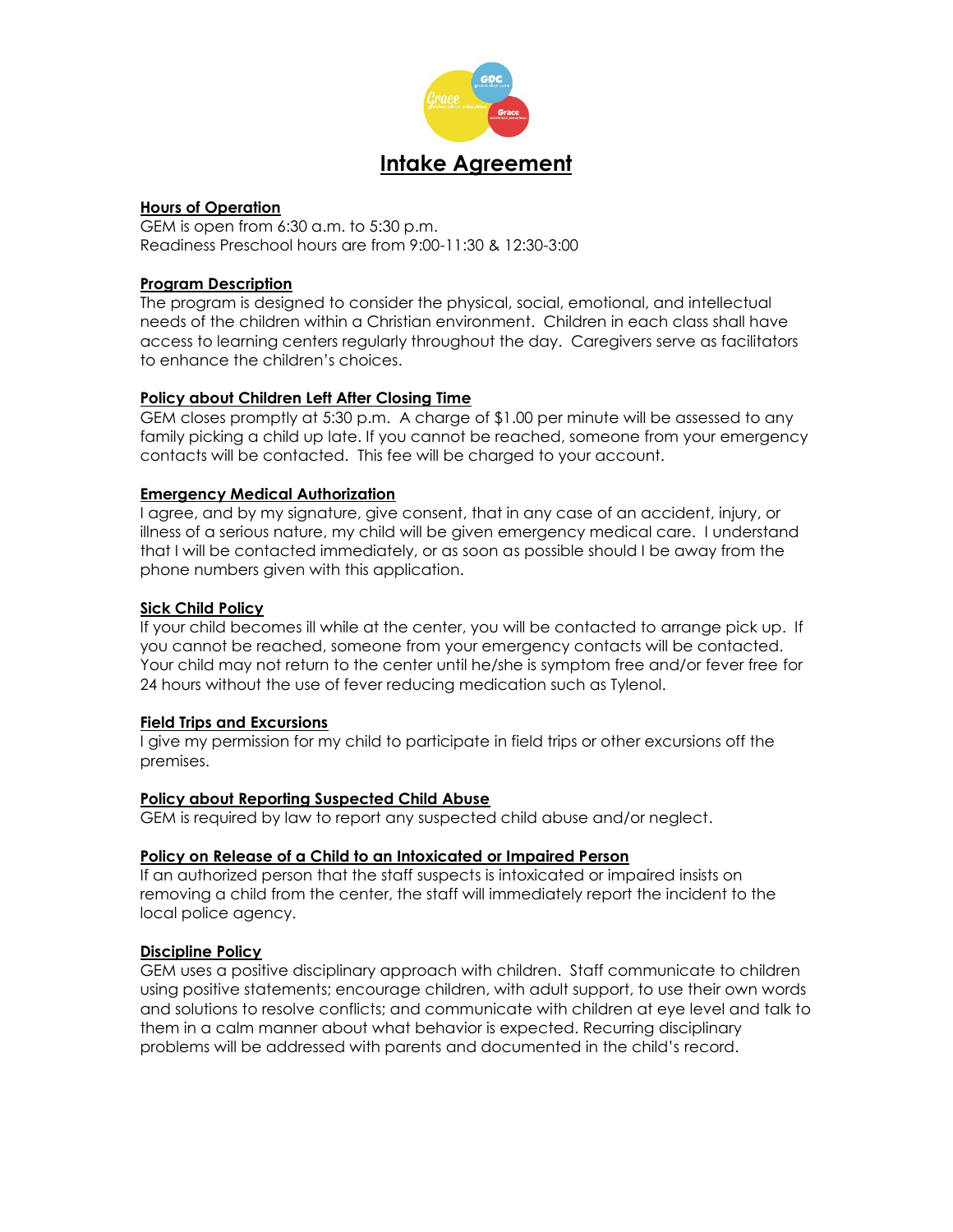

## **Hours of Operation**

GEM is open from 6:30 a.m. to 5:30 p.m. Readiness Preschool hours are from 9:00-11:30 & 12:30-3:00

# **Program Description**

The program is designed to consider the physical, social, emotional, and intellectual needs of the children within a Christian environment. Children in each class shall have access to learning centers regularly throughout the day. Caregivers serve as facilitators to enhance the children's choices.

# **Policy about Children Left After Closing Time**

GEM closes promptly at 5:30 p.m. A charge of \$1.00 per minute will be assessed to any family picking a child up late. If you cannot be reached, someone from your emergency contacts will be contacted. This fee will be charged to your account.

# **Emergency Medical Authorization**

I agree, and by my signature, give consent, that in any case of an accident, injury, or illness of a serious nature, my child will be given emergency medical care. I understand that I will be contacted immediately, or as soon as possible should I be away from the phone numbers given with this application.

# **Sick Child Policy**

If your child becomes ill while at the center, you will be contacted to arrange pick up. If you cannot be reached, someone from your emergency contacts will be contacted. Your child may not return to the center until he/she is symptom free and/or fever free for 24 hours without the use of fever reducing medication such as Tylenol.

### **Field Trips and Excursions**

I give my permission for my child to participate in field trips or other excursions off the premises.

### **Policy about Reporting Suspected Child Abuse**

GEM is required by law to report any suspected child abuse and/or neglect.

### **Policy on Release of a Child to an Intoxicated or Impaired Person**

If an authorized person that the staff suspects is intoxicated or impaired insists on removing a child from the center, the staff will immediately report the incident to the local police agency.

### **Discipline Policy**

GEM uses a positive disciplinary approach with children. Staff communicate to children using positive statements; encourage children, with adult support, to use their own words and solutions to resolve conflicts; and communicate with children at eye level and talk to them in a calm manner about what behavior is expected. Recurring disciplinary problems will be addressed with parents and documented in the child's record.